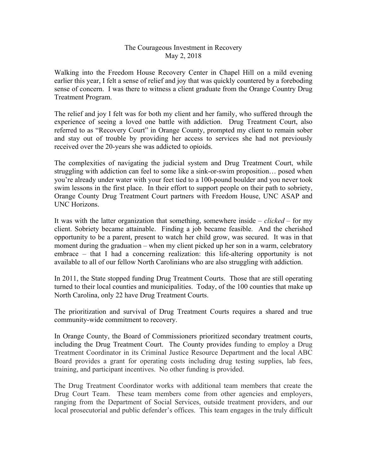## The Courageous Investment in Recovery May 2, 2018

Walking into the Freedom House Recovery Center in Chapel Hill on a mild evening earlier this year, I felt a sense of relief and joy that was quickly countered by a foreboding sense of concern. I was there to witness a client graduate from the Orange Country Drug Treatment Program.

The relief and joy I felt was for both my client and her family, who suffered through the experience of seeing a loved one battle with addiction. Drug Treatment Court, also referred to as "Recovery Court" in Orange County, prompted my client to remain sober and stay out of trouble by providing her access to services she had not previously received over the 20-years she was addicted to opioids.

The complexities of navigating the judicial system and Drug Treatment Court, while struggling with addiction can feel to some like a sink-or-swim proposition… posed when you're already under water with your feet tied to a 100-pound boulder and you never took swim lessons in the first place. In their effort to support people on their path to sobriety, Orange County Drug Treatment Court partners with Freedom House, UNC ASAP and UNC Horizons.

It was with the latter organization that something, somewhere inside – *clicked* – for my client. Sobriety became attainable. Finding a job became feasible. And the cherished opportunity to be a parent, present to watch her child grow, was secured. It was in that moment during the graduation – when my client picked up her son in a warm, celebratory embrace – that I had a concerning realization: this life-altering opportunity is not available to all of our fellow North Carolinians who are also struggling with addiction.

In 2011, the State stopped funding Drug Treatment Courts. Those that are still operating turned to their local counties and municipalities. Today, of the 100 counties that make up North Carolina, only 22 have Drug Treatment Courts.

The prioritization and survival of Drug Treatment Courts requires a shared and true community-wide commitment to recovery.

In Orange County, the Board of Commissioners prioritized secondary treatment courts, including the Drug Treatment Court. The County provides funding to employ a Drug Treatment Coordinator in its Criminal Justice Resource Department and the local ABC Board provides a grant for operating costs including drug testing supplies, lab fees, training, and participant incentives. No other funding is provided.

The Drug Treatment Coordinator works with additional team members that create the Drug Court Team. These team members come from other agencies and employers, ranging from the Department of Social Services, outside treatment providers, and our local prosecutorial and public defender's offices. This team engages in the truly difficult